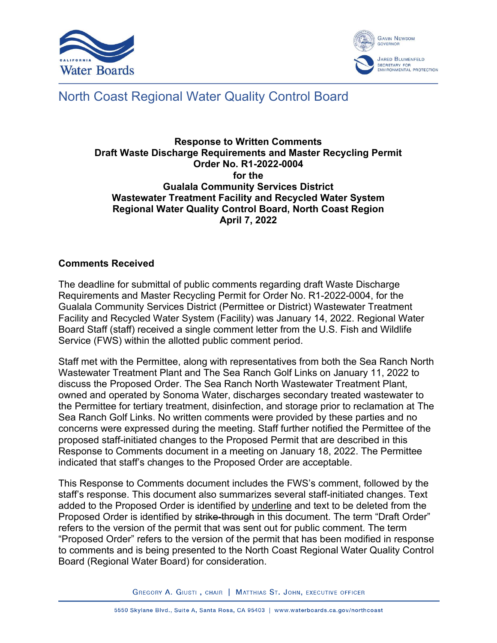



# North Coast Regional Water Quality Control Board

#### **Response to Written Comments Draft Waste Discharge Requirements and Master Recycling Permit Order No. R1-2022-0004 for the Gualala Community Services District Wastewater Treatment Facility and Recycled Water System Regional Water Quality Control Board, North Coast Region April 7, 2022**

## **Comments Received**

The deadline for submittal of public comments regarding draft Waste Discharge Requirements and Master Recycling Permit for Order No. R1-2022-0004, for the Gualala Community Services District (Permittee or District) Wastewater Treatment Facility and Recycled Water System (Facility) was January 14, 2022. Regional Water Board Staff (staff) received a single comment letter from the U.S. Fish and Wildlife Service (FWS) within the allotted public comment period.

Staff met with the Permittee, along with representatives from both the Sea Ranch North Wastewater Treatment Plant and The Sea Ranch Golf Links on January 11, 2022 to discuss the Proposed Order. The Sea Ranch North Wastewater Treatment Plant, owned and operated by Sonoma Water, discharges secondary treated wastewater to the Permittee for tertiary treatment, disinfection, and storage prior to reclamation at The Sea Ranch Golf Links. No written comments were provided by these parties and no concerns were expressed during the meeting. Staff further notified the Permittee of the proposed staff-initiated changes to the Proposed Permit that are described in this Response to Comments document in a meeting on January 18, 2022. The Permittee indicated that staff's changes to the Proposed Order are acceptable.

This Response to Comments document includes the FWS's comment, followed by the staff's response. This document also summarizes several staff-initiated changes. Text added to the Proposed Order is identified by underline and text to be deleted from the Proposed Order is identified by strike-through in this document. The term "Draft Order" refers to the version of the permit that was sent out for public comment. The term "Proposed Order" refers to the version of the permit that has been modified in response to comments and is being presented to the North Coast Regional Water Quality Control Board (Regional Water Board) for consideration.

GREGORY A. GIUSTI, CHAIR | MATTHIAS ST. JOHN, EXECUTIVE OFFICER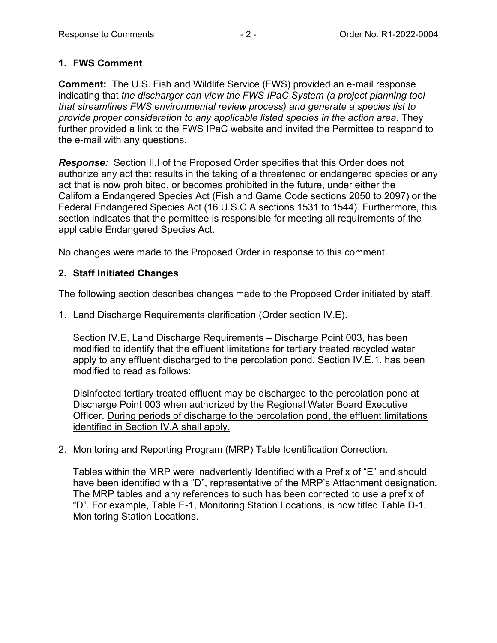## **1. FWS Comment**

**Comment:** The U.S. Fish and Wildlife Service (FWS) provided an e-mail response indicating that *the discharger can view the FWS IPaC System (a project planning tool that streamlines FWS environmental review process) and generate a species list to provide proper consideration to any applicable listed species in the action area.* They further provided a link to the FWS IPaC website and invited the Permittee to respond to the e-mail with any questions.

*Response:* Section II.I of the Proposed Order specifies that this Order does not authorize any act that results in the taking of a threatened or endangered species or any act that is now prohibited, or becomes prohibited in the future, under either the California Endangered Species Act (Fish and Game Code sections 2050 to 2097) or the Federal Endangered Species Act (16 U.S.C.A sections 1531 to 1544). Furthermore, this section indicates that the permittee is responsible for meeting all requirements of the applicable Endangered Species Act.

No changes were made to the Proposed Order in response to this comment.

# **2. Staff Initiated Changes**

The following section describes changes made to the Proposed Order initiated by staff.

1. Land Discharge Requirements clarification (Order section IV.E).

Section IV.E, Land Discharge Requirements – Discharge Point 003, has been modified to identify that the effluent limitations for tertiary treated recycled water apply to any effluent discharged to the percolation pond. Section IV.E.1. has been modified to read as follows:

Disinfected tertiary treated effluent may be discharged to the percolation pond at Discharge Point 003 when authorized by the Regional Water Board Executive Officer. During periods of discharge to the percolation pond, the effluent limitations identified in Section IV.A shall apply.

2. Monitoring and Reporting Program (MRP) Table Identification Correction.

Tables within the MRP were inadvertently Identified with a Prefix of "E" and should have been identified with a "D", representative of the MRP's Attachment designation. The MRP tables and any references to such has been corrected to use a prefix of "D". For example, Table E-1, Monitoring Station Locations, is now titled Table D-1, Monitoring Station Locations.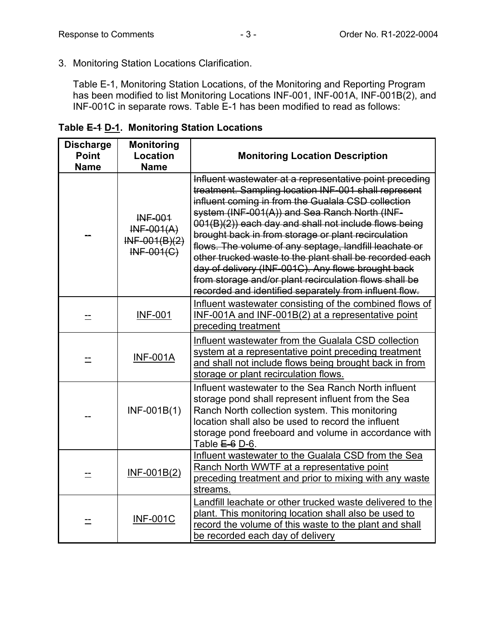3. Monitoring Station Locations Clarification.

Table E-1, Monitoring Station Locations, of the Monitoring and Reporting Program has been modified to list Monitoring Locations INF-001, INF-001A, INF-001B(2), and INF-001C in separate rows. Table E-1 has been modified to read as follows:

**Discharge Point Name Monitoring Location Name Monitoring Location Description**  -- INF-001 INF-001(A) INF-001(B)(2) INF-001(C) Influent wastewater at a representative point preceding treatment. Sampling location INF-001 shall represent influent coming in from the Gualala CSD collection system (INF-001(A)) and Sea Ranch North (INF-001(B)(2)) each day and shall not include flows being brought back in from storage or plant recirculation flows. The volume of any septage, landfill leachate or other trucked waste to the plant shall be recorded each day of delivery (INF-001C). Any flows brought back from storage and/or plant recirculation flows shall be recorded and identified separately from influent flow. -- INF-001 Influent wastewater consisting of the combined flows of INF-001A and INF-001B(2) at a representative point preceding treatment  $\equiv$  INF-001A Influent wastewater from the Gualala CSD collection system at a representative point preceding treatment and shall not include flows being brought back in from storage or plant recirculation flows. -- INF-001B(1) Influent wastewater to the Sea Ranch North influent storage pond shall represent influent from the Sea Ranch North collection system. This monitoring location shall also be used to record the influent storage pond freeboard and volume in accordance with Table  $E-6$  D-6. <u>--</u> | <u>INF-001B(2)</u> Influent wastewater to the Gualala CSD from the Sea Ranch North WWTF at a representative point preceding treatment and prior to mixing with any waste streams. -- INF-001C Landfill leachate or other trucked waste delivered to the plant. This monitoring location shall also be used to record the volume of this waste to the plant and shall be recorded each day of delivery

| Table E-4 D-1. Monitoring Station Locations |  |  |
|---------------------------------------------|--|--|
|                                             |  |  |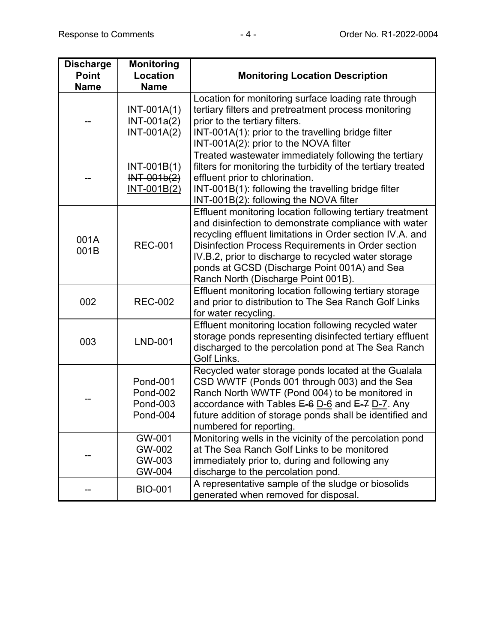| <b>Discharge</b><br><b>Point</b><br><b>Name</b> | <b>Monitoring</b><br><b>Location</b><br><b>Name</b>                      | <b>Monitoring Location Description</b>                                                                                                                                                                                                                                                                                                                                               |
|-------------------------------------------------|--------------------------------------------------------------------------|--------------------------------------------------------------------------------------------------------------------------------------------------------------------------------------------------------------------------------------------------------------------------------------------------------------------------------------------------------------------------------------|
|                                                 | $INT-001A(1)$<br>$INT-001a(2)$<br>$INT-001A(2)$                          | Location for monitoring surface loading rate through<br>tertiary filters and pretreatment process monitoring<br>prior to the tertiary filters.<br>INT-001A(1): prior to the travelling bridge filter<br>INT-001A(2): prior to the NOVA filter                                                                                                                                        |
|                                                 | $INT-001B(1)$<br>$INT-001b(2)$<br>$INT-001B(2)$                          | Treated wastewater immediately following the tertiary<br>filters for monitoring the turbidity of the tertiary treated<br>effluent prior to chlorination.<br>INT-001B(1): following the travelling bridge filter<br>INT-001B(2): following the NOVA filter                                                                                                                            |
| 001A<br>001B                                    | <b>REC-001</b>                                                           | Effluent monitoring location following tertiary treatment<br>and disinfection to demonstrate compliance with water<br>recycling effluent limitations in Order section IV.A. and<br>Disinfection Process Requirements in Order section<br>IV.B.2, prior to discharge to recycled water storage<br>ponds at GCSD (Discharge Point 001A) and Sea<br>Ranch North (Discharge Point 001B). |
| 002                                             | <b>REC-002</b>                                                           | Effluent monitoring location following tertiary storage<br>and prior to distribution to The Sea Ranch Golf Links<br>for water recycling.                                                                                                                                                                                                                                             |
| 003                                             | <b>LND-001</b>                                                           | Effluent monitoring location following recycled water<br>storage ponds representing disinfected tertiary effluent<br>discharged to the percolation pond at The Sea Ranch<br>Golf Links.                                                                                                                                                                                              |
|                                                 | <b>Pond-001</b><br><b>Pond-002</b><br><b>Pond-003</b><br><b>Pond-004</b> | Recycled water storage ponds located at the Gualala<br>CSD WWTF (Ponds 001 through 003) and the Sea<br>Ranch North WWTF (Pond 004) to be monitored in<br>accordance with Tables E-6 D-6 and E-7 D-7. Any<br>future addition of storage ponds shall be identified and<br>numbered for reporting.                                                                                      |
|                                                 | GW-001<br>GW-002<br>GW-003<br>GW-004                                     | Monitoring wells in the vicinity of the percolation pond<br>at The Sea Ranch Golf Links to be monitored<br>immediately prior to, during and following any<br>discharge to the percolation pond.                                                                                                                                                                                      |
|                                                 | <b>BIO-001</b>                                                           | A representative sample of the sludge or biosolids<br>generated when removed for disposal.                                                                                                                                                                                                                                                                                           |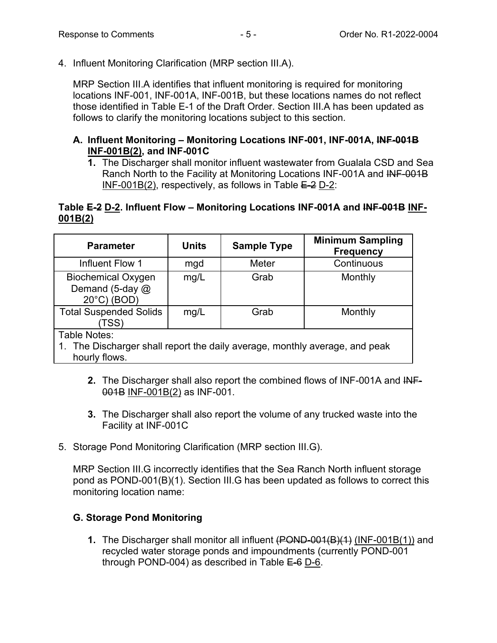4. Influent Monitoring Clarification (MRP section III.A).

MRP Section III.A identifies that influent monitoring is required for monitoring locations INF-001, INF-001A, INF-001B, but these locations names do not reflect those identified in Table E-1 of the Draft Order. Section III.A has been updated as follows to clarify the monitoring locations subject to this section.

#### **A. Influent Monitoring – Monitoring Locations INF-001, INF-001A, INF-001B INF-001B(2), and INF-001C**

**1.** The Discharger shall monitor influent wastewater from Gualala CSD and Sea Ranch North to the Facility at Monitoring Locations INF-001A and INF-001B INF-001B(2), respectively, as follows in Table  $E=2$  D-2:

## **Table E-2 D-2. Influent Flow – Monitoring Locations INF-001A and INF-001B INF-001B(2)**

| <b>Parameter</b>                                                                                             | <b>Units</b> | <b>Sample Type</b> | <b>Minimum Sampling</b><br><b>Frequency</b> |  |  |  |
|--------------------------------------------------------------------------------------------------------------|--------------|--------------------|---------------------------------------------|--|--|--|
| Influent Flow 1                                                                                              | mgd          | <b>Meter</b>       | Continuous                                  |  |  |  |
| <b>Biochemical Oxygen</b><br>Demand (5-day @<br>$20^{\circ}$ C) (BOD)                                        | mg/L         | Grab               | Monthly                                     |  |  |  |
| <b>Total Suspended Solids</b><br>(TSS                                                                        | mg/L         | Grab               | Monthly                                     |  |  |  |
| Table Notes:<br>1. The Discharger shall report the daily average, monthly average, and peak<br>hourly flows. |              |                    |                                             |  |  |  |

- **2.** The Discharger shall also report the combined flows of INF-001A and INF-001B INF-001B(2) as INF-001.
- **3.** The Discharger shall also report the volume of any trucked waste into the Facility at INF-001C
- 5. Storage Pond Monitoring Clarification (MRP section III.G).

MRP Section III.G incorrectly identifies that the Sea Ranch North influent storage pond as POND-001(B)(1). Section III.G has been updated as follows to correct this monitoring location name:

# **G. Storage Pond Monitoring**

**1.** The Discharger shall monitor all influent (POND-001(B)(1) (INF-001B(1)) and recycled water storage ponds and impoundments (currently POND-001 through POND-004) as described in Table  $E=6$  D-6.